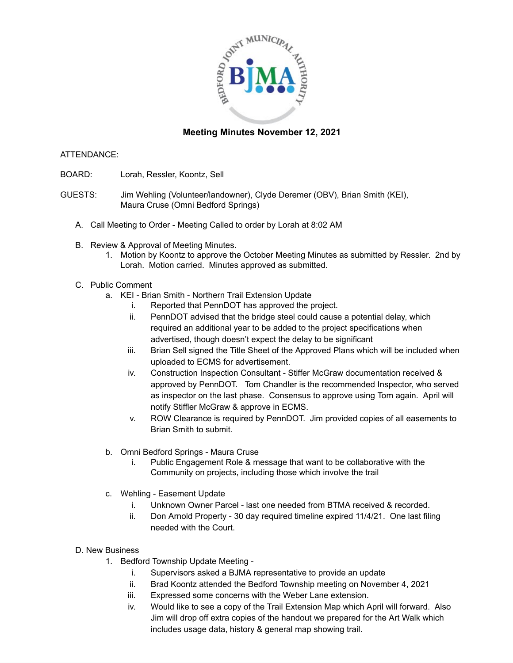

# **Meeting Minutes November 12, 2021**

## ATTENDANCE:

- BOARD: Lorah, Ressler, Koontz, Sell
- GUESTS: Jim Wehling (Volunteer/landowner), Clyde Deremer (OBV), Brian Smith (KEI), Maura Cruse (Omni Bedford Springs)
	- A. Call Meeting to Order Meeting Called to order by Lorah at 8:02 AM
	- B. Review & Approval of Meeting Minutes.
		- 1. Motion by Koontz to approve the October Meeting Minutes as submitted by Ressler. 2nd by Lorah. Motion carried. Minutes approved as submitted.

## C. Public Comment

- a. KEI Brian Smith Northern Trail Extension Update
	- i. Reported that PennDOT has approved the project.
	- ii. PennDOT advised that the bridge steel could cause a potential delay, which required an additional year to be added to the project specifications when advertised, though doesn't expect the delay to be significant
	- iii. Brian Sell signed the Title Sheet of the Approved Plans which will be included when uploaded to ECMS for advertisement.
	- iv. Construction Inspection Consultant Stiffer McGraw documentation received & approved by PennDOT. Tom Chandler is the recommended Inspector, who served as inspector on the last phase. Consensus to approve using Tom again. April will notify Stiffler McGraw & approve in ECMS.
	- v. ROW Clearance is required by PennDOT. Jim provided copies of all easements to Brian Smith to submit.
- b. Omni Bedford Springs Maura Cruse
	- i. Public Engagement Role & message that want to be collaborative with the Community on projects, including those which involve the trail
- c. Wehling Easement Update
	- i. Unknown Owner Parcel last one needed from BTMA received & recorded.
	- ii. Don Arnold Property 30 day required timeline expired 11/4/21. One last filing needed with the Court.

## D. New Business

- 1. Bedford Township Update Meeting
	- i. Supervisors asked a BJMA representative to provide an update
	- ii. Brad Koontz attended the Bedford Township meeting on November 4, 2021
	- iii. Expressed some concerns with the Weber Lane extension.
	- iv. Would like to see a copy of the Trail Extension Map which April will forward. Also Jim will drop off extra copies of the handout we prepared for the Art Walk which includes usage data, history & general map showing trail.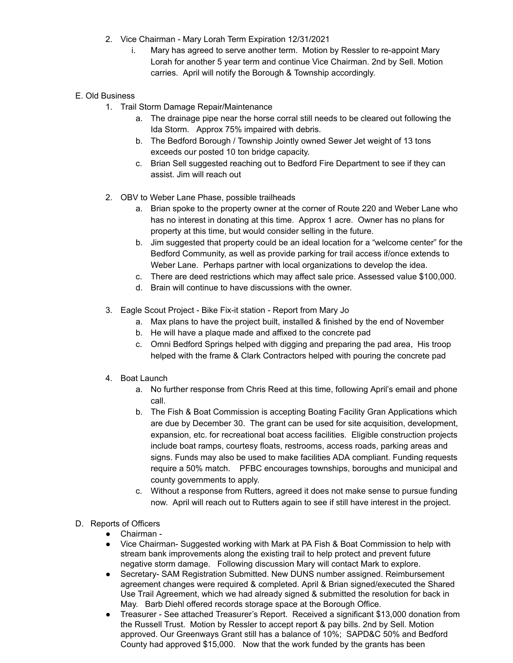- 2. Vice Chairman Mary Lorah Term Expiration 12/31/2021
	- i. Mary has agreed to serve another term. Motion by Ressler to re-appoint Mary Lorah for another 5 year term and continue Vice Chairman. 2nd by Sell. Motion carries. April will notify the Borough & Township accordingly.

## E. Old Business

- 1. Trail Storm Damage Repair/Maintenance
	- a. The drainage pipe near the horse corral still needs to be cleared out following the Ida Storm. Approx 75% impaired with debris.
	- b. The Bedford Borough / Township Jointly owned Sewer Jet weight of 13 tons exceeds our posted 10 ton bridge capacity.
	- c. Brian Sell suggested reaching out to Bedford Fire Department to see if they can assist. Jim will reach out
- 2. OBV to Weber Lane Phase, possible trailheads
	- a. Brian spoke to the property owner at the corner of Route 220 and Weber Lane who has no interest in donating at this time. Approx 1 acre. Owner has no plans for property at this time, but would consider selling in the future.
	- b. Jim suggested that property could be an ideal location for a "welcome center" for the Bedford Community, as well as provide parking for trail access if/once extends to Weber Lane. Perhaps partner with local organizations to develop the idea.
	- c. There are deed restrictions which may affect sale price. Assessed value \$100,000.
	- d. Brain will continue to have discussions with the owner.
- 3. Eagle Scout Project Bike Fix-it station Report from Mary Jo
	- a. Max plans to have the project built, installed & finished by the end of November
	- b. He will have a plaque made and affixed to the concrete pad
	- c. Omni Bedford Springs helped with digging and preparing the pad area, His troop helped with the frame & Clark Contractors helped with pouring the concrete pad
- 4. Boat Launch
	- a. No further response from Chris Reed at this time, following April's email and phone call.
	- b. The Fish & Boat Commission is accepting Boating Facility Gran Applications which are due by December 30. The grant can be used for site acquisition, development, expansion, etc. for recreational boat access facilities. Eligible construction projects include boat ramps, courtesy floats, restrooms, access roads, parking areas and signs. Funds may also be used to make facilities ADA compliant. Funding requests require a 50% match. PFBC encourages townships, boroughs and municipal and county governments to apply.
	- c. Without a response from Rutters, agreed it does not make sense to pursue funding now. April will reach out to Rutters again to see if still have interest in the project.

## D. Reports of Officers

- Chairman -
- Vice Chairman- Suggested working with Mark at PA Fish & Boat Commission to help with stream bank improvements along the existing trail to help protect and prevent future negative storm damage. Following discussion Mary will contact Mark to explore.
- Secretary- SAM Registration Submitted. New DUNS number assigned. Reimbursement agreement changes were required & completed. April & Brian signed/executed the Shared Use Trail Agreement, which we had already signed & submitted the resolution for back in May. Barb Diehl offered records storage space at the Borough Office.
- Treasurer See attached Treasurer's Report. Received a significant \$13,000 donation from the Russell Trust. Motion by Ressler to accept report & pay bills. 2nd by Sell. Motion approved. Our Greenways Grant still has a balance of 10%; SAPD&C 50% and Bedford County had approved \$15,000. Now that the work funded by the grants has been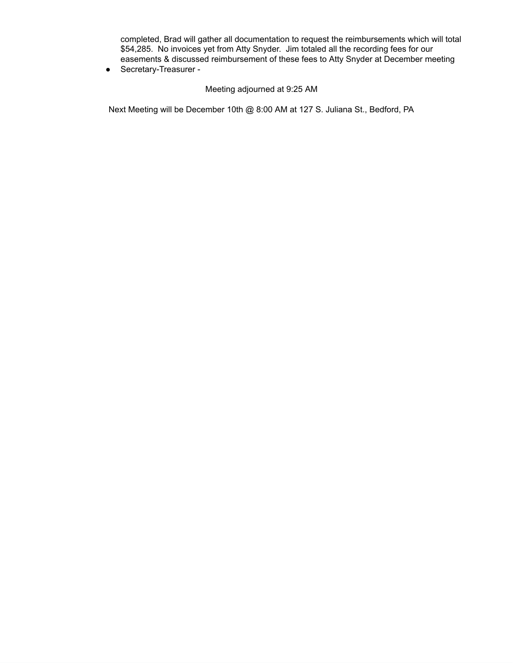completed, Brad will gather all documentation to request the reimbursements which will total \$54,285. No invoices yet from Atty Snyder. Jim totaled all the recording fees for our easements & discussed reimbursement of these fees to Atty Snyder at December meeting

● Secretary-Treasurer -

### Meeting adjourned at 9:25 AM

Next Meeting will be December 10th @ 8:00 AM at 127 S. Juliana St., Bedford, PA